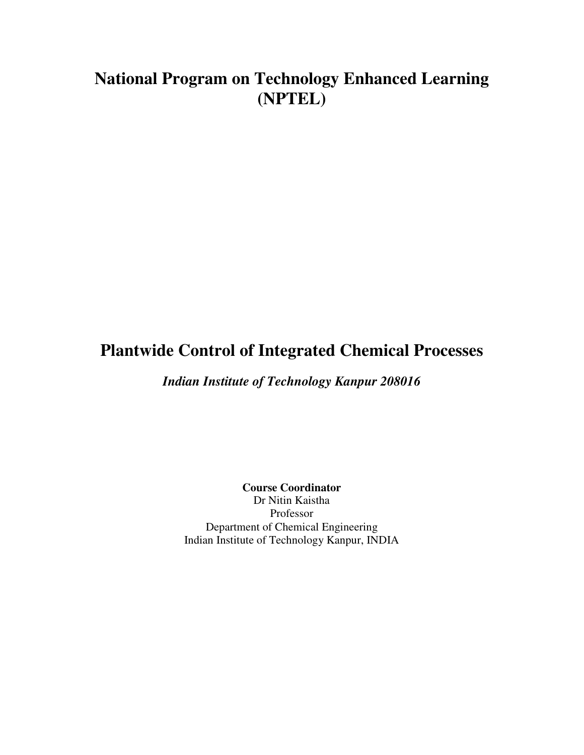# **National Program on Technology Enhanced Learning (NPTEL)**

## **Plantwide Control of Integrated Chemical Processes**

*Indian Institute of Technology Kanpur 208016* 

**Course Coordinator**  Dr Nitin Kaistha Professor Department of Chemical Engineering Indian Institute of Technology Kanpur, INDIA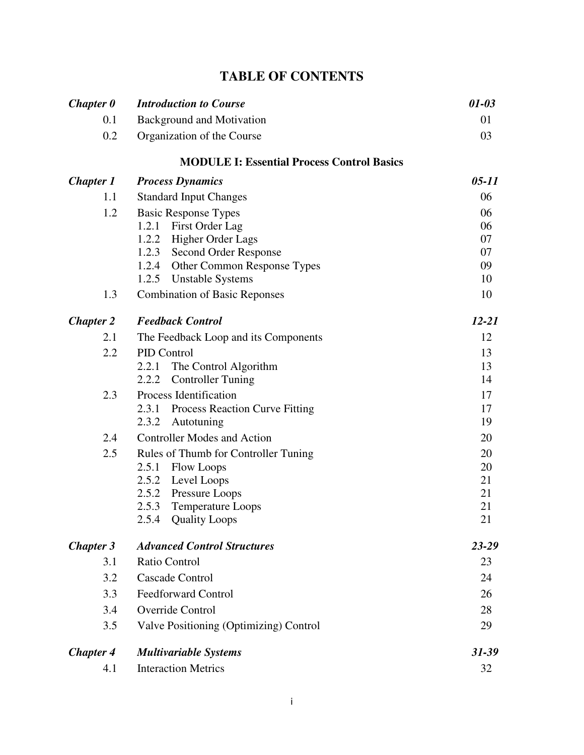## **TABLE OF CONTENTS**

| <b>Chapter 0</b> | <b>Introduction to Course</b>                     | $01 - 03$ |
|------------------|---------------------------------------------------|-----------|
| 0.1              | <b>Background and Motivation</b>                  | 01        |
| 0.2              | Organization of the Course                        | 03        |
|                  | <b>MODULE I: Essential Process Control Basics</b> |           |
| <b>Chapter 1</b> | <b>Process Dynamics</b>                           | $05 - 11$ |
| 1.1              | <b>Standard Input Changes</b>                     | 06        |
| 1.2              | <b>Basic Response Types</b>                       | 06        |
|                  | First Order Lag<br>1.2.1                          | 06        |
|                  | 1.2.2<br>Higher Order Lags                        | 07        |
|                  | 1.2.3 Second Order Response                       | 07        |
|                  | 1.2.4 Other Common Response Types                 | 09        |
|                  | 1.2.5 Unstable Systems                            | 10        |
| 1.3              | <b>Combination of Basic Reponses</b>              | 10        |
| <b>Chapter 2</b> | <b>Feedback Control</b>                           | $12 - 21$ |
| 2.1              | The Feedback Loop and its Components              | 12        |
| 2.2              | PID Control                                       | 13        |
|                  | The Control Algorithm<br>2.2.1                    | 13        |
|                  | 2.2.2<br><b>Controller Tuning</b>                 | 14        |
| 2.3              | Process Identification                            | 17        |
|                  | 2.3.1<br><b>Process Reaction Curve Fitting</b>    | 17        |
|                  | 2.3.2<br>Autotuning                               | 19        |
| 2.4              | <b>Controller Modes and Action</b>                | 20        |
| 2.5              | Rules of Thumb for Controller Tuning              | 20        |
|                  | 2.5.1<br><b>Flow Loops</b>                        | 20        |
|                  | 2.5.2<br>Level Loops                              | 21        |
|                  | 2.5.2 Pressure Loops                              | 21        |
|                  | 2.5.3<br><b>Temperature Loops</b>                 | 21        |
|                  | 2.5.4<br><b>Quality Loops</b>                     | 21        |
| <b>Chapter 3</b> | <b>Advanced Control Structures</b>                | $23 - 29$ |
| 3.1              | Ratio Control                                     | 23        |
| 3.2              | Cascade Control                                   | 24        |
| 3.3              | <b>Feedforward Control</b>                        | 26        |
| 3.4              | <b>Override Control</b>                           | 28        |
| 3.5              | Valve Positioning (Optimizing) Control            | 29        |
| <b>Chapter 4</b> | <b>Multivariable Systems</b>                      | $31 - 39$ |
| 4.1              | <b>Interaction Metrics</b>                        | 32        |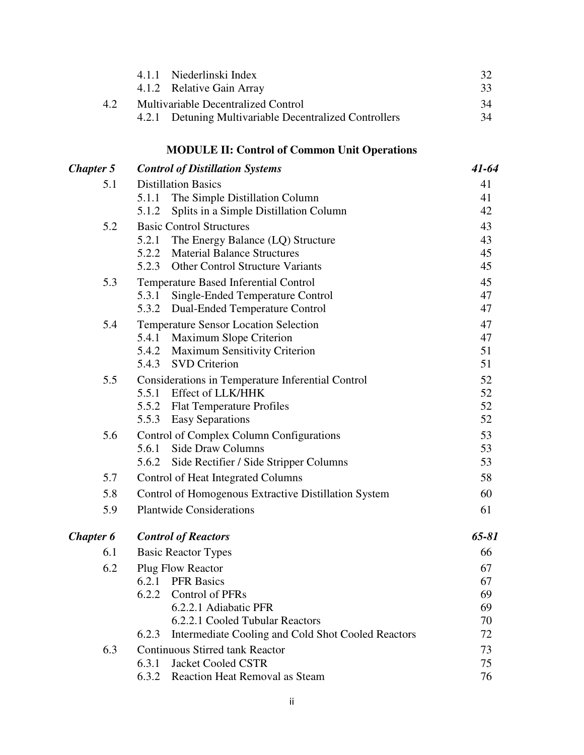|     | 4.1.1 Niederlinski Index                               | 32. |
|-----|--------------------------------------------------------|-----|
|     | 4.1.2 Relative Gain Array                              | 33  |
| 4.2 | Multivariable Decentralized Control                    | 34  |
|     | 4.2.1 Detuning Multivariable Decentralized Controllers | 34  |
|     |                                                        |     |

## **MODULE II: Control of Common Unit Operations**

| <b>Chapter 5</b> | <b>Control of Distillation Systems</b>                                        | 41-64    |
|------------------|-------------------------------------------------------------------------------|----------|
| 5.1              | <b>Distillation Basics</b>                                                    | 41       |
|                  | 5.1.1<br>The Simple Distillation Column                                       | 41       |
|                  | Splits in a Simple Distillation Column<br>5.1.2                               | 42       |
| 5.2              | <b>Basic Control Structures</b>                                               | 43       |
|                  | 5.2.1<br>The Energy Balance (LQ) Structure                                    | 43       |
|                  | <b>Material Balance Structures</b><br>5.2.2                                   | 45       |
|                  | 5.2.3<br><b>Other Control Structure Variants</b>                              | 45       |
| 5.3              | Temperature Based Inferential Control                                         | 45       |
|                  | Single-Ended Temperature Control<br>5.3.1                                     | 47       |
|                  | 5.3.2<br><b>Dual-Ended Temperature Control</b>                                | 47       |
| 5.4              | <b>Temperature Sensor Location Selection</b>                                  | 47       |
|                  | 5.4.1<br>Maximum Slope Criterion                                              | 47       |
|                  | 5.4.2 Maximum Sensitivity Criterion                                           | 51       |
|                  | 5.4.3 SVD Criterion                                                           | 51       |
| 5.5              | Considerations in Temperature Inferential Control                             | 52       |
|                  | Effect of LLK/HHK<br>5.5.1                                                    | 52       |
|                  | 5.5.2 Flat Temperature Profiles                                               | 52<br>52 |
|                  | 5.5.3 Easy Separations                                                        |          |
| 5.6              | Control of Complex Column Configurations<br>5.6.1<br><b>Side Draw Columns</b> | 53       |
|                  | 5.6.2<br>Side Rectifier / Side Stripper Columns                               | 53<br>53 |
| 5.7              | Control of Heat Integrated Columns                                            | 58       |
|                  |                                                                               |          |
| 5.8              | Control of Homogenous Extractive Distillation System                          | 60       |
| 5.9              | <b>Plantwide Considerations</b>                                               | 61       |
| <b>Chapter 6</b> | <b>Control of Reactors</b>                                                    | 65-81    |
| 6.1              | <b>Basic Reactor Types</b>                                                    | 66       |
| 6.2              | <b>Plug Flow Reactor</b>                                                      | 67       |
|                  | 6.2.1 PFR Basics                                                              | 67       |
|                  | 6.2.2<br><b>Control of PFRs</b>                                               | 69       |
|                  | 6.2.2.1 Adiabatic PFR                                                         | 69       |
|                  | 6.2.2.1 Cooled Tubular Reactors                                               | 70       |
|                  | Intermediate Cooling and Cold Shot Cooled Reactors<br>6.2.3                   | 72       |
| 6.3              | <b>Continuous Stirred tank Reactor</b>                                        | 73       |
|                  | <b>Jacket Cooled CSTR</b><br>6.3.1                                            | 75       |
|                  | 6.3.2<br><b>Reaction Heat Removal as Steam</b>                                | 76       |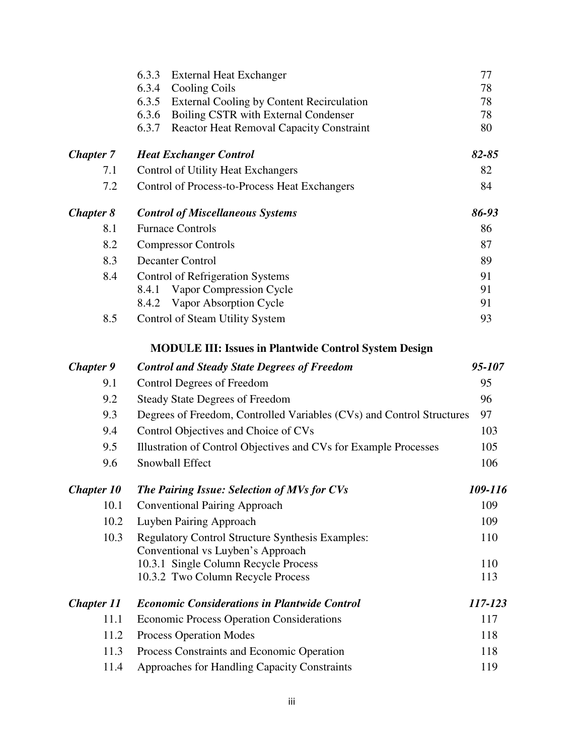|                   | 6.3.3<br><b>External Heat Exchanger</b>                               | 77        |
|-------------------|-----------------------------------------------------------------------|-----------|
|                   | 6.3.4<br><b>Cooling Coils</b>                                         | 78        |
|                   | 6.3.5<br><b>External Cooling by Content Recirculation</b>             | 78        |
|                   | 6.3.6<br>Boiling CSTR with External Condenser                         | 78        |
|                   | 6.3.7<br>Reactor Heat Removal Capacity Constraint                     | 80        |
| <b>Chapter 7</b>  | <b>Heat Exchanger Control</b>                                         | $82 - 85$ |
| 7.1               | Control of Utility Heat Exchangers                                    | 82        |
| 7.2               | Control of Process-to-Process Heat Exchangers                         | 84        |
| <b>Chapter 8</b>  | <b>Control of Miscellaneous Systems</b>                               | 86-93     |
| 8.1               | <b>Furnace Controls</b>                                               | 86        |
| 8.2               | <b>Compressor Controls</b>                                            | 87        |
| 8.3               | <b>Decanter Control</b>                                               | 89        |
| 8.4               | <b>Control of Refrigeration Systems</b>                               | 91        |
|                   | Vapor Compression Cycle<br>8.4.1                                      | 91        |
|                   | Vapor Absorption Cycle<br>8.4.2                                       | 91        |
| 8.5               | Control of Steam Utility System                                       | 93        |
|                   | <b>MODULE III: Issues in Plantwide Control System Design</b>          |           |
| <b>Chapter 9</b>  | <b>Control and Steady State Degrees of Freedom</b>                    | 95-107    |
| 9.1               | Control Degrees of Freedom                                            | 95        |
| 9.2               | <b>Steady State Degrees of Freedom</b>                                | 96        |
| 9.3               | Degrees of Freedom, Controlled Variables (CVs) and Control Structures | 97        |
| 9.4               | Control Objectives and Choice of CVs                                  | 103       |
| 9.5               | Illustration of Control Objectives and CVs for Example Processes      | 105       |
| 9.6               | Snowball Effect                                                       | 106       |
| <b>Chapter 10</b> | The Pairing Issue: Selection of MVs for CVs                           | 109-116   |
| 10.1              | <b>Conventional Pairing Approach</b>                                  | 109       |
| 10.2              | Luyben Pairing Approach                                               | 109       |
| 10.3              | Regulatory Control Structure Synthesis Examples:                      | 110       |
|                   | Conventional vs Luyben's Approach                                     |           |
|                   | 10.3.1 Single Column Recycle Process                                  | 110       |
|                   | 10.3.2 Two Column Recycle Process                                     | 113       |
| <b>Chapter 11</b> | <b>Economic Considerations in Plantwide Control</b>                   | 117-123   |

| 11.1 | <b>Economic Process Operation Considerations</b>  | 117 |
|------|---------------------------------------------------|-----|
|      | 11.2 Process Operation Modes                      | 118 |
|      | 11.3 Process Constraints and Economic Operation   | 118 |
|      | 11.4 Approaches for Handling Capacity Constraints | 119 |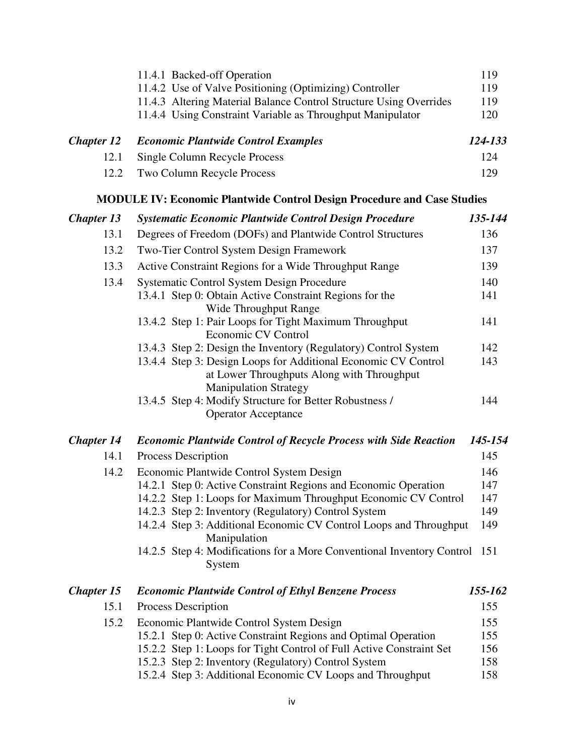|            | 11.4.1 Backed-off Operation                                        | 119     |
|------------|--------------------------------------------------------------------|---------|
|            | 11.4.2 Use of Valve Positioning (Optimizing) Controller            | 119     |
|            | 11.4.3 Altering Material Balance Control Structure Using Overrides | 119     |
|            | 11.4.4 Using Constraint Variable as Throughput Manipulator         | 120     |
| Chapter 12 | <b>Economic Plantwide Control Examples</b>                         | 124-133 |
| 12.1       | Single Column Recycle Process                                      | 124     |
| 12.2       | Two Column Recycle Process                                         | 129     |

### **MODULE IV: Economic Plantwide Control Design Procedure and Case Studies**

| <b>Chapter 13</b> | <b>Systematic Economic Plantwide Control Design Procedure</b>                                                                                | 135-144 |
|-------------------|----------------------------------------------------------------------------------------------------------------------------------------------|---------|
| 13.1              | Degrees of Freedom (DOFs) and Plantwide Control Structures                                                                                   | 136     |
| 13.2              | Two-Tier Control System Design Framework                                                                                                     | 137     |
| 13.3              | Active Constraint Regions for a Wide Throughput Range                                                                                        | 139     |
| 13.4              | <b>Systematic Control System Design Procedure</b>                                                                                            | 140     |
|                   | 13.4.1 Step 0: Obtain Active Constraint Regions for the<br>Wide Throughput Range                                                             | 141     |
|                   | 13.4.2 Step 1: Pair Loops for Tight Maximum Throughput<br>Economic CV Control                                                                | 141     |
|                   | 13.4.3 Step 2: Design the Inventory (Regulatory) Control System                                                                              | 142     |
|                   | 13.4.4 Step 3: Design Loops for Additional Economic CV Control<br>at Lower Throughputs Along with Throughput<br><b>Manipulation Strategy</b> | 143     |
|                   | 13.4.5 Step 4: Modify Structure for Better Robustness /<br><b>Operator Acceptance</b>                                                        | 144     |
| <b>Chapter 14</b> | <b>Economic Plantwide Control of Recycle Process with Side Reaction</b>                                                                      | 145-154 |
| 14.1              | Process Description                                                                                                                          | 145     |
| 14.2              | Economic Plantwide Control System Design                                                                                                     | 146     |
|                   | 14.2.1 Step 0: Active Constraint Regions and Economic Operation                                                                              | 147     |
|                   | 14.2.2 Step 1: Loops for Maximum Throughput Economic CV Control                                                                              | 147     |
|                   | 14.2.3 Step 2: Inventory (Regulatory) Control System                                                                                         | 149     |
|                   | 14.2.4 Step 3: Additional Economic CV Control Loops and Throughput<br>Manipulation                                                           | 149     |
|                   | 14.2.5 Step 4: Modifications for a More Conventional Inventory Control 151<br>System                                                         |         |
| <b>Chapter 15</b> | <b>Economic Plantwide Control of Ethyl Benzene Process</b>                                                                                   | 155-162 |
| 15.1              | Process Description                                                                                                                          | 155     |
| 15.2              | Economic Plantwide Control System Design                                                                                                     | 155     |
|                   | 15.2.1 Step 0: Active Constraint Regions and Optimal Operation                                                                               | 155     |
|                   | 15.2.2 Step 1: Loops for Tight Control of Full Active Constraint Set                                                                         | 156     |
|                   | 15.2.3 Step 2: Inventory (Regulatory) Control System                                                                                         | 158     |
|                   | 15.2.4 Step 3: Additional Economic CV Loops and Throughput                                                                                   | 158     |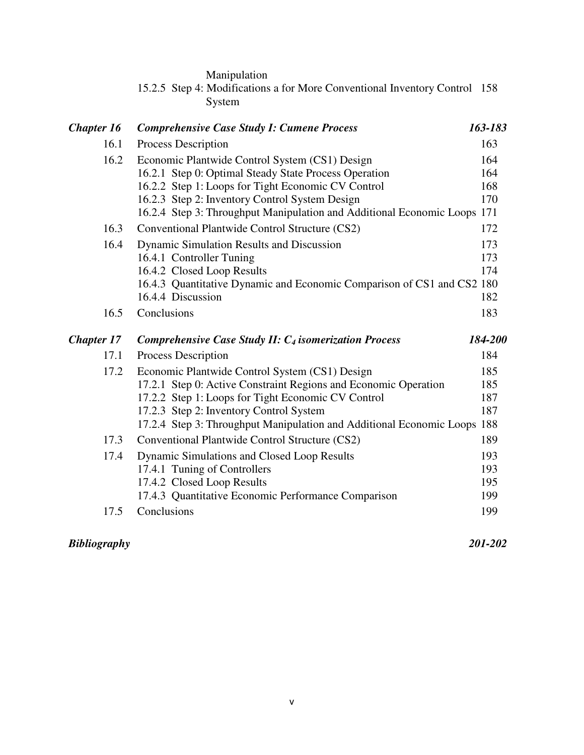Manipulation

| 15.2.5 Step 4: Modifications a for More Conventional Inventory Control 158 |  |
|----------------------------------------------------------------------------|--|
| System                                                                     |  |

| <b>Chapter 16</b> | <b>Comprehensive Case Study I: Cumene Process</b>                        | 163-183 |
|-------------------|--------------------------------------------------------------------------|---------|
| 16.1              | Process Description                                                      | 163     |
| 16.2              | Economic Plantwide Control System (CS1) Design                           | 164     |
|                   | 16.2.1 Step 0: Optimal Steady State Process Operation                    | 164     |
|                   | 16.2.2 Step 1: Loops for Tight Economic CV Control                       | 168     |
|                   | 16.2.3 Step 2: Inventory Control System Design                           | 170     |
|                   | 16.2.4 Step 3: Throughput Manipulation and Additional Economic Loops 171 |         |
| 16.3              | Conventional Plantwide Control Structure (CS2)                           | 172     |
| 16.4              | Dynamic Simulation Results and Discussion                                | 173     |
|                   | 16.4.1 Controller Tuning                                                 | 173     |
|                   | 16.4.2 Closed Loop Results                                               | 174     |
|                   | 16.4.3 Quantitative Dynamic and Economic Comparison of CS1 and CS2 180   |         |
|                   | 16.4.4 Discussion                                                        | 182     |
| 16.5              | Conclusions                                                              | 183     |
| <b>Chapter 17</b> | <b>Comprehensive Case Study II: C<sub>4</sub> isomerization Process</b>  | 184-200 |
| 17.1              | <b>Process Description</b>                                               | 184     |
| 17.2              | Economic Plantwide Control System (CS1) Design                           | 185     |
|                   | 17.2.1 Step 0: Active Constraint Regions and Economic Operation          | 185     |
|                   | 17.2.2 Step 1: Loops for Tight Economic CV Control                       | 187     |
|                   | 17.2.3 Step 2: Inventory Control System                                  | 187     |
|                   | 17.2.4 Step 3: Throughput Manipulation and Additional Economic Loops 188 |         |
| 17.3              | Conventional Plantwide Control Structure (CS2)                           | 189     |
| 17.4              | Dynamic Simulations and Closed Loop Results                              | 193     |
|                   | 17.4.1 Tuning of Controllers                                             | 193     |
|                   | 17.4.2 Closed Loop Results                                               | 195     |
|                   | 17.4.3 Quantitative Economic Performance Comparison                      | 199     |
| 17.5              | Conclusions                                                              | 199     |

### *Bibliography 201-202*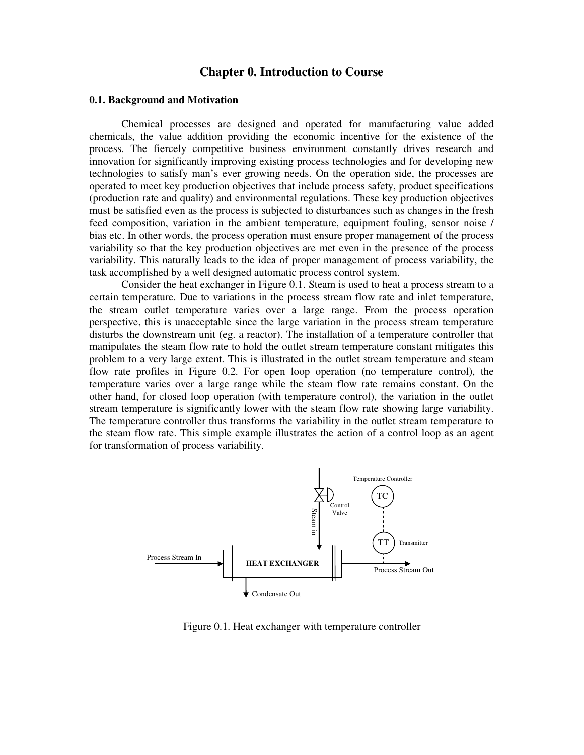### **Chapter 0. Introduction to Course**

#### **0.1. Background and Motivation**

Chemical processes are designed and operated for manufacturing value added chemicals, the value addition providing the economic incentive for the existence of the process. The fiercely competitive business environment constantly drives research and innovation for significantly improving existing process technologies and for developing new technologies to satisfy man's ever growing needs. On the operation side, the processes are operated to meet key production objectives that include process safety, product specifications (production rate and quality) and environmental regulations. These key production objectives must be satisfied even as the process is subjected to disturbances such as changes in the fresh feed composition, variation in the ambient temperature, equipment fouling, sensor noise / bias etc. In other words, the process operation must ensure proper management of the process variability so that the key production objectives are met even in the presence of the process variability. This naturally leads to the idea of proper management of process variability, the task accomplished by a well designed automatic process control system.

Consider the heat exchanger in Figure 0.1. Steam is used to heat a process stream to a certain temperature. Due to variations in the process stream flow rate and inlet temperature, the stream outlet temperature varies over a large range. From the process operation perspective, this is unacceptable since the large variation in the process stream temperature disturbs the downstream unit (eg. a reactor). The installation of a temperature controller that manipulates the steam flow rate to hold the outlet stream temperature constant mitigates this problem to a very large extent. This is illustrated in the outlet stream temperature and steam flow rate profiles in Figure 0.2. For open loop operation (no temperature control), the temperature varies over a large range while the steam flow rate remains constant. On the other hand, for closed loop operation (with temperature control), the variation in the outlet stream temperature is significantly lower with the steam flow rate showing large variability. The temperature controller thus transforms the variability in the outlet stream temperature to the steam flow rate. This simple example illustrates the action of a control loop as an agent for transformation of process variability.



Figure 0.1. Heat exchanger with temperature controller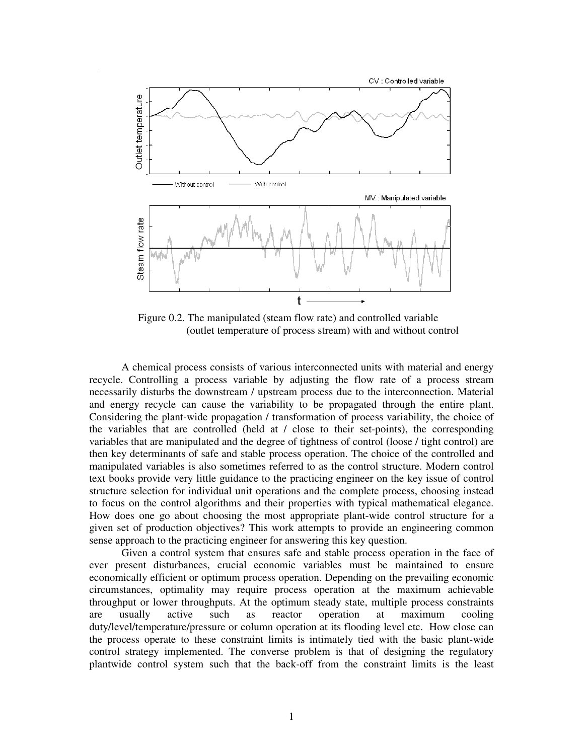

Figure 0.2. The manipulated (steam flow rate) and controlled variable (outlet temperature of process stream) with and without control

A chemical process consists of various interconnected units with material and energy recycle. Controlling a process variable by adjusting the flow rate of a process stream necessarily disturbs the downstream / upstream process due to the interconnection. Material and energy recycle can cause the variability to be propagated through the entire plant. Considering the plant-wide propagation / transformation of process variability, the choice of the variables that are controlled (held at / close to their set-points), the corresponding variables that are manipulated and the degree of tightness of control (loose / tight control) are then key determinants of safe and stable process operation. The choice of the controlled and manipulated variables is also sometimes referred to as the control structure. Modern control text books provide very little guidance to the practicing engineer on the key issue of control structure selection for individual unit operations and the complete process, choosing instead to focus on the control algorithms and their properties with typical mathematical elegance. How does one go about choosing the most appropriate plant-wide control structure for a given set of production objectives? This work attempts to provide an engineering common sense approach to the practicing engineer for answering this key question.

Given a control system that ensures safe and stable process operation in the face of ever present disturbances, crucial economic variables must be maintained to ensure economically efficient or optimum process operation. Depending on the prevailing economic circumstances, optimality may require process operation at the maximum achievable throughput or lower throughputs. At the optimum steady state, multiple process constraints are usually active such as reactor operation at maximum cooling duty/level/temperature/pressure or column operation at its flooding level etc. How close can the process operate to these constraint limits is intimately tied with the basic plant-wide control strategy implemented. The converse problem is that of designing the regulatory plantwide control system such that the back-off from the constraint limits is the least